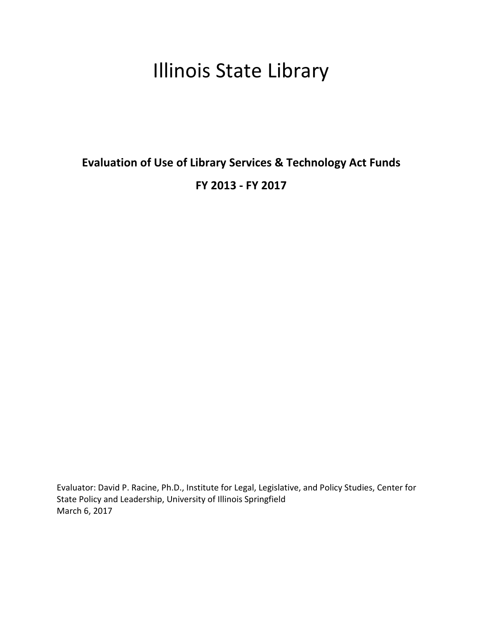# Illinois State Library

# Evaluation of Use of Library Services & Technology Act Funds FY 2013 - FY 2017

Evaluator: David P. Racine, Ph.D., Institute for Legal, Legislative, and Policy Studies, Center for State Policy and Leadership, University of Illinois Springfield March 6, 2017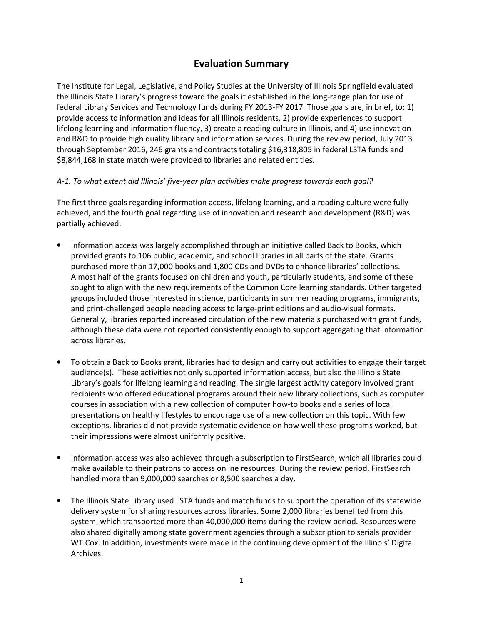# Evaluation Summary

The Institute for Legal, Legislative, and Policy Studies at the University of Illinois Springfield evaluated the Illinois State Library's progress toward the goals it established in the long-range plan for use of federal Library Services and Technology funds during FY 2013-FY 2017. Those goals are, in brief, to: 1) provide access to information and ideas for all Illinois residents, 2) provide experiences to support lifelong learning and information fluency, 3) create a reading culture in Illinois, and 4) use innovation and R&D to provide high quality library and information services. During the review period, July 2013 through September 2016, 246 grants and contracts totaling \$16,318,805 in federal LSTA funds and \$8,844,168 in state match were provided to libraries and related entities.

# A-1. To what extent did Illinois' five-year plan activities make progress towards each goal?

The first three goals regarding information access, lifelong learning, and a reading culture were fully achieved, and the fourth goal regarding use of innovation and research and development (R&D) was partially achieved.

- Information access was largely accomplished through an initiative called Back to Books, which provided grants to 106 public, academic, and school libraries in all parts of the state. Grants purchased more than 17,000 books and 1,800 CDs and DVDs to enhance libraries' collections. Almost half of the grants focused on children and youth, particularly students, and some of these sought to align with the new requirements of the Common Core learning standards. Other targeted groups included those interested in science, participants in summer reading programs, immigrants, and print-challenged people needing access to large-print editions and audio-visual formats. Generally, libraries reported increased circulation of the new materials purchased with grant funds, although these data were not reported consistently enough to support aggregating that information across libraries.
- To obtain a Back to Books grant, libraries had to design and carry out activities to engage their target audience(s). These activities not only supported information access, but also the Illinois State Library's goals for lifelong learning and reading. The single largest activity category involved grant recipients who offered educational programs around their new library collections, such as computer courses in association with a new collection of computer how-to books and a series of local presentations on healthy lifestyles to encourage use of a new collection on this topic. With few exceptions, libraries did not provide systematic evidence on how well these programs worked, but their impressions were almost uniformly positive.
- Information access was also achieved through a subscription to FirstSearch, which all libraries could make available to their patrons to access online resources. During the review period, FirstSearch handled more than 9,000,000 searches or 8,500 searches a day.
- The Illinois State Library used LSTA funds and match funds to support the operation of its statewide delivery system for sharing resources across libraries. Some 2,000 libraries benefited from this system, which transported more than 40,000,000 items during the review period. Resources were also shared digitally among state government agencies through a subscription to serials provider WT.Cox. In addition, investments were made in the continuing development of the Illinois' Digital Archives.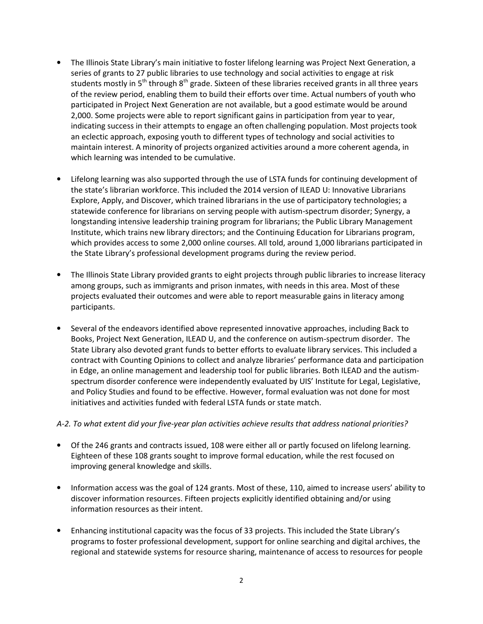- The Illinois State Library's main initiative to foster lifelong learning was Project Next Generation, a series of grants to 27 public libraries to use technology and social activities to engage at risk students mostly in  $5<sup>th</sup>$  through  $8<sup>th</sup>$  grade. Sixteen of these libraries received grants in all three years of the review period, enabling them to build their efforts over time. Actual numbers of youth who participated in Project Next Generation are not available, but a good estimate would be around 2,000. Some projects were able to report significant gains in participation from year to year, indicating success in their attempts to engage an often challenging population. Most projects took an eclectic approach, exposing youth to different types of technology and social activities to maintain interest. A minority of projects organized activities around a more coherent agenda, in which learning was intended to be cumulative.
- Lifelong learning was also supported through the use of LSTA funds for continuing development of the state's librarian workforce. This included the 2014 version of ILEAD U: Innovative Librarians Explore, Apply, and Discover, which trained librarians in the use of participatory technologies; a statewide conference for librarians on serving people with autism-spectrum disorder; Synergy, a longstanding intensive leadership training program for librarians; the Public Library Management Institute, which trains new library directors; and the Continuing Education for Librarians program, which provides access to some 2,000 online courses. All told, around 1,000 librarians participated in the State Library's professional development programs during the review period.
- The Illinois State Library provided grants to eight projects through public libraries to increase literacy among groups, such as immigrants and prison inmates, with needs in this area. Most of these projects evaluated their outcomes and were able to report measurable gains in literacy among participants.
- Several of the endeavors identified above represented innovative approaches, including Back to Books, Project Next Generation, ILEAD U, and the conference on autism-spectrum disorder. The State Library also devoted grant funds to better efforts to evaluate library services. This included a contract with Counting Opinions to collect and analyze libraries' performance data and participation in Edge, an online management and leadership tool for public libraries. Both ILEAD and the autismspectrum disorder conference were independently evaluated by UIS' Institute for Legal, Legislative, and Policy Studies and found to be effective. However, formal evaluation was not done for most initiatives and activities funded with federal LSTA funds or state match.

#### A-2. To what extent did your five-year plan activities achieve results that address national priorities?

- Of the 246 grants and contracts issued, 108 were either all or partly focused on lifelong learning. Eighteen of these 108 grants sought to improve formal education, while the rest focused on improving general knowledge and skills.
- Information access was the goal of 124 grants. Most of these, 110, aimed to increase users' ability to discover information resources. Fifteen projects explicitly identified obtaining and/or using information resources as their intent.
- Enhancing institutional capacity was the focus of 33 projects. This included the State Library's programs to foster professional development, support for online searching and digital archives, the regional and statewide systems for resource sharing, maintenance of access to resources for people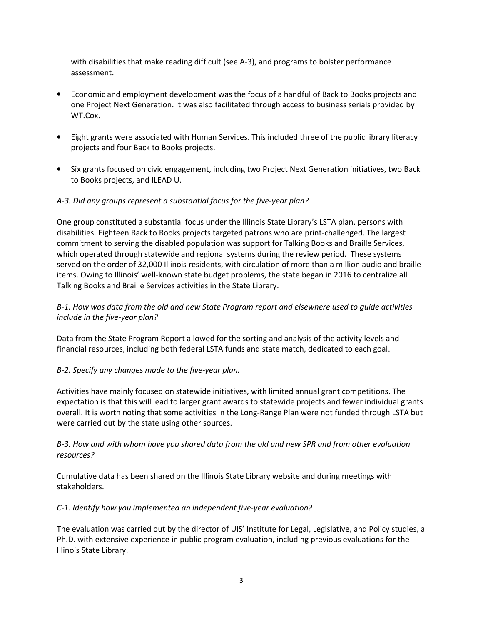with disabilities that make reading difficult (see A-3), and programs to bolster performance assessment.

- Economic and employment development was the focus of a handful of Back to Books projects and one Project Next Generation. It was also facilitated through access to business serials provided by WT.Cox.
- Eight grants were associated with Human Services. This included three of the public library literacy projects and four Back to Books projects.
- Six grants focused on civic engagement, including two Project Next Generation initiatives, two Back to Books projects, and ILEAD U.

# A-3. Did any groups represent a substantial focus for the five-year plan?

One group constituted a substantial focus under the Illinois State Library's LSTA plan, persons with disabilities. Eighteen Back to Books projects targeted patrons who are print-challenged. The largest commitment to serving the disabled population was support for Talking Books and Braille Services, which operated through statewide and regional systems during the review period. These systems served on the order of 32,000 Illinois residents, with circulation of more than a million audio and braille items. Owing to Illinois' well-known state budget problems, the state began in 2016 to centralize all Talking Books and Braille Services activities in the State Library.

#### B-1. How was data from the old and new State Program report and elsewhere used to guide activities include in the five-year plan?

Data from the State Program Report allowed for the sorting and analysis of the activity levels and financial resources, including both federal LSTA funds and state match, dedicated to each goal.

#### B-2. Specify any changes made to the five-year plan.

Activities have mainly focused on statewide initiatives, with limited annual grant competitions. The expectation is that this will lead to larger grant awards to statewide projects and fewer individual grants overall. It is worth noting that some activities in the Long-Range Plan were not funded through LSTA but were carried out by the state using other sources.

# B-3. How and with whom have you shared data from the old and new SPR and from other evaluation resources?

Cumulative data has been shared on the Illinois State Library website and during meetings with stakeholders.

#### C-1. Identify how you implemented an independent five-year evaluation?

The evaluation was carried out by the director of UIS' Institute for Legal, Legislative, and Policy studies, a Ph.D. with extensive experience in public program evaluation, including previous evaluations for the Illinois State Library.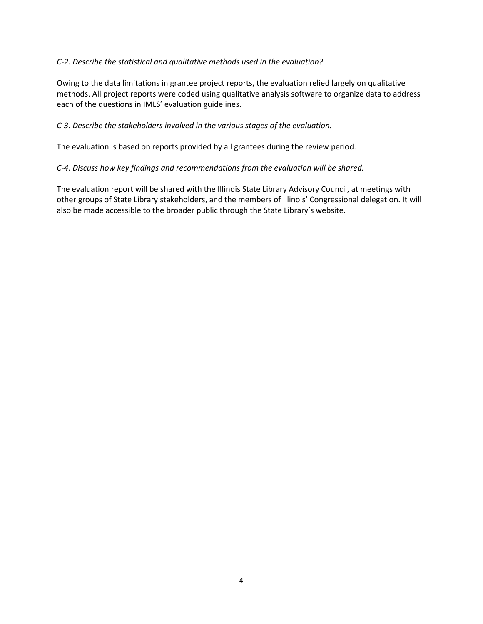#### C-2. Describe the statistical and qualitative methods used in the evaluation?

Owing to the data limitations in grantee project reports, the evaluation relied largely on qualitative methods. All project reports were coded using qualitative analysis software to organize data to address each of the questions in IMLS' evaluation guidelines.

#### C-3. Describe the stakeholders involved in the various stages of the evaluation.

The evaluation is based on reports provided by all grantees during the review period.

#### C-4. Discuss how key findings and recommendations from the evaluation will be shared.

The evaluation report will be shared with the Illinois State Library Advisory Council, at meetings with other groups of State Library stakeholders, and the members of Illinois' Congressional delegation. It will also be made accessible to the broader public through the State Library's website.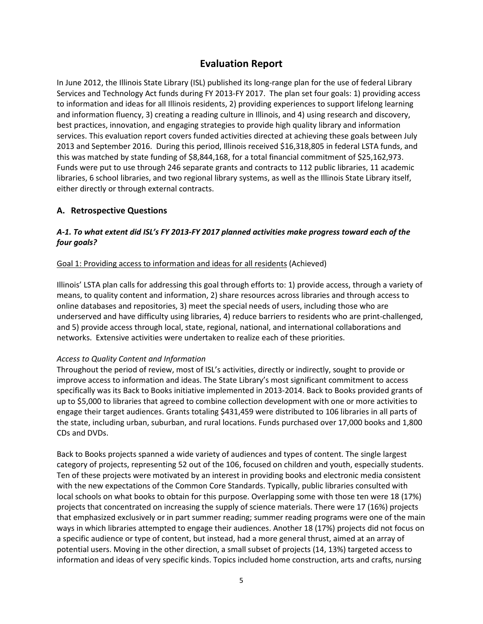# Evaluation Report

In June 2012, the Illinois State Library (ISL) published its long-range plan for the use of federal Library Services and Technology Act funds during FY 2013-FY 2017. The plan set four goals: 1) providing access to information and ideas for all Illinois residents, 2) providing experiences to support lifelong learning and information fluency, 3) creating a reading culture in Illinois, and 4) using research and discovery, best practices, innovation, and engaging strategies to provide high quality library and information services. This evaluation report covers funded activities directed at achieving these goals between July 2013 and September 2016. During this period, Illinois received \$16,318,805 in federal LSTA funds, and this was matched by state funding of \$8,844,168, for a total financial commitment of \$25,162,973. Funds were put to use through 246 separate grants and contracts to 112 public libraries, 11 academic libraries, 6 school libraries, and two regional library systems, as well as the Illinois State Library itself, either directly or through external contracts.

# A. Retrospective Questions

# A-1. To what extent did ISL's FY 2013-FY 2017 planned activities make progress toward each of the four goals?

#### Goal 1: Providing access to information and ideas for all residents (Achieved)

Illinois' LSTA plan calls for addressing this goal through efforts to: 1) provide access, through a variety of means, to quality content and information, 2) share resources across libraries and through access to online databases and repositories, 3) meet the special needs of users, including those who are underserved and have difficulty using libraries, 4) reduce barriers to residents who are print-challenged, and 5) provide access through local, state, regional, national, and international collaborations and networks. Extensive activities were undertaken to realize each of these priorities.

#### Access to Quality Content and Information

Throughout the period of review, most of ISL's activities, directly or indirectly, sought to provide or improve access to information and ideas. The State Library's most significant commitment to access specifically was its Back to Books initiative implemented in 2013-2014. Back to Books provided grants of up to \$5,000 to libraries that agreed to combine collection development with one or more activities to engage their target audiences. Grants totaling \$431,459 were distributed to 106 libraries in all parts of the state, including urban, suburban, and rural locations. Funds purchased over 17,000 books and 1,800 CDs and DVDs.

Back to Books projects spanned a wide variety of audiences and types of content. The single largest category of projects, representing 52 out of the 106, focused on children and youth, especially students. Ten of these projects were motivated by an interest in providing books and electronic media consistent with the new expectations of the Common Core Standards. Typically, public libraries consulted with local schools on what books to obtain for this purpose. Overlapping some with those ten were 18 (17%) projects that concentrated on increasing the supply of science materials. There were 17 (16%) projects that emphasized exclusively or in part summer reading; summer reading programs were one of the main ways in which libraries attempted to engage their audiences. Another 18 (17%) projects did not focus on a specific audience or type of content, but instead, had a more general thrust, aimed at an array of potential users. Moving in the other direction, a small subset of projects (14, 13%) targeted access to information and ideas of very specific kinds. Topics included home construction, arts and crafts, nursing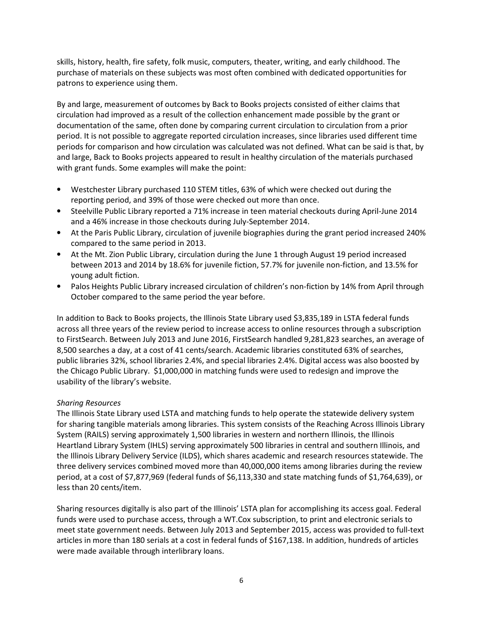skills, history, health, fire safety, folk music, computers, theater, writing, and early childhood. The purchase of materials on these subjects was most often combined with dedicated opportunities for patrons to experience using them.

By and large, measurement of outcomes by Back to Books projects consisted of either claims that circulation had improved as a result of the collection enhancement made possible by the grant or documentation of the same, often done by comparing current circulation to circulation from a prior period. It is not possible to aggregate reported circulation increases, since libraries used different time periods for comparison and how circulation was calculated was not defined. What can be said is that, by and large, Back to Books projects appeared to result in healthy circulation of the materials purchased with grant funds. Some examples will make the point:

- Westchester Library purchased 110 STEM titles, 63% of which were checked out during the reporting period, and 39% of those were checked out more than once.
- Steelville Public Library reported a 71% increase in teen material checkouts during April-June 2014 and a 46% increase in those checkouts during July-September 2014.
- At the Paris Public Library, circulation of juvenile biographies during the grant period increased 240% compared to the same period in 2013.
- At the Mt. Zion Public Library, circulation during the June 1 through August 19 period increased between 2013 and 2014 by 18.6% for juvenile fiction, 57.7% for juvenile non-fiction, and 13.5% for young adult fiction.
- Palos Heights Public Library increased circulation of children's non-fiction by 14% from April through October compared to the same period the year before.

In addition to Back to Books projects, the Illinois State Library used \$3,835,189 in LSTA federal funds across all three years of the review period to increase access to online resources through a subscription to FirstSearch. Between July 2013 and June 2016, FirstSearch handled 9,281,823 searches, an average of 8,500 searches a day, at a cost of 41 cents/search. Academic libraries constituted 63% of searches, public libraries 32%, school libraries 2.4%, and special libraries 2.4%. Digital access was also boosted by the Chicago Public Library. \$1,000,000 in matching funds were used to redesign and improve the usability of the library's website.

#### Sharing Resources

The Illinois State Library used LSTA and matching funds to help operate the statewide delivery system for sharing tangible materials among libraries. This system consists of the Reaching Across Illinois Library System (RAILS) serving approximately 1,500 libraries in western and northern Illinois, the Illinois Heartland Library System (IHLS) serving approximately 500 libraries in central and southern Illinois, and the Illinois Library Delivery Service (ILDS), which shares academic and research resources statewide. The three delivery services combined moved more than 40,000,000 items among libraries during the review period, at a cost of \$7,877,969 (federal funds of \$6,113,330 and state matching funds of \$1,764,639), or less than 20 cents/item.

Sharing resources digitally is also part of the Illinois' LSTA plan for accomplishing its access goal. Federal funds were used to purchase access, through a WT.Cox subscription, to print and electronic serials to meet state government needs. Between July 2013 and September 2015, access was provided to full-text articles in more than 180 serials at a cost in federal funds of \$167,138. In addition, hundreds of articles were made available through interlibrary loans.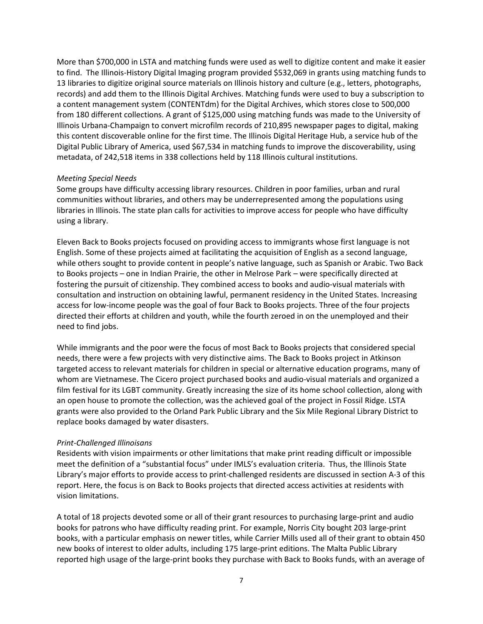More than \$700,000 in LSTA and matching funds were used as well to digitize content and make it easier to find. The Illinois-History Digital Imaging program provided \$532,069 in grants using matching funds to 13 libraries to digitize original source materials on Illinois history and culture (e.g., letters, photographs, records) and add them to the Illinois Digital Archives. Matching funds were used to buy a subscription to a content management system (CONTENTdm) for the Digital Archives, which stores close to 500,000 from 180 different collections. A grant of \$125,000 using matching funds was made to the University of Illinois Urbana-Champaign to convert microfilm records of 210,895 newspaper pages to digital, making this content discoverable online for the first time. The Illinois Digital Heritage Hub, a service hub of the Digital Public Library of America, used \$67,534 in matching funds to improve the discoverability, using metadata, of 242,518 items in 338 collections held by 118 Illinois cultural institutions.

#### Meeting Special Needs

Some groups have difficulty accessing library resources. Children in poor families, urban and rural communities without libraries, and others may be underrepresented among the populations using libraries in Illinois. The state plan calls for activities to improve access for people who have difficulty using a library.

Eleven Back to Books projects focused on providing access to immigrants whose first language is not English. Some of these projects aimed at facilitating the acquisition of English as a second language, while others sought to provide content in people's native language, such as Spanish or Arabic. Two Back to Books projects – one in Indian Prairie, the other in Melrose Park – were specifically directed at fostering the pursuit of citizenship. They combined access to books and audio-visual materials with consultation and instruction on obtaining lawful, permanent residency in the United States. Increasing access for low-income people was the goal of four Back to Books projects. Three of the four projects directed their efforts at children and youth, while the fourth zeroed in on the unemployed and their need to find jobs.

While immigrants and the poor were the focus of most Back to Books projects that considered special needs, there were a few projects with very distinctive aims. The Back to Books project in Atkinson targeted access to relevant materials for children in special or alternative education programs, many of whom are Vietnamese. The Cicero project purchased books and audio-visual materials and organized a film festival for its LGBT community. Greatly increasing the size of its home school collection, along with an open house to promote the collection, was the achieved goal of the project in Fossil Ridge. LSTA grants were also provided to the Orland Park Public Library and the Six Mile Regional Library District to replace books damaged by water disasters.

#### Print-Challenged Illinoisans

Residents with vision impairments or other limitations that make print reading difficult or impossible meet the definition of a "substantial focus" under IMLS's evaluation criteria. Thus, the Illinois State Library's major efforts to provide access to print-challenged residents are discussed in section A-3 of this report. Here, the focus is on Back to Books projects that directed access activities at residents with vision limitations.

A total of 18 projects devoted some or all of their grant resources to purchasing large-print and audio books for patrons who have difficulty reading print. For example, Norris City bought 203 large-print books, with a particular emphasis on newer titles, while Carrier Mills used all of their grant to obtain 450 new books of interest to older adults, including 175 large-print editions. The Malta Public Library reported high usage of the large-print books they purchase with Back to Books funds, with an average of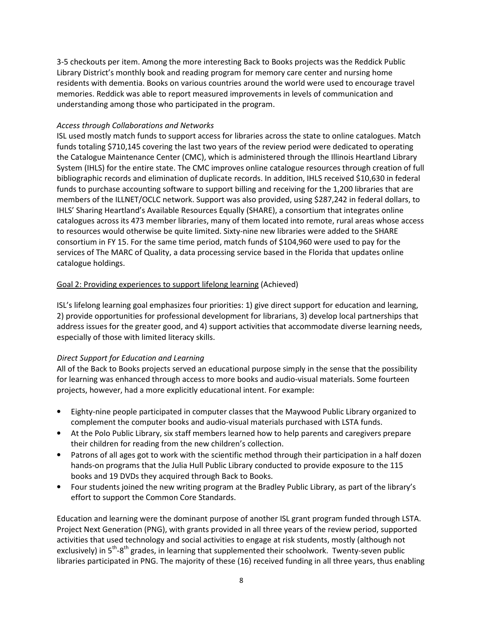3-5 checkouts per item. Among the more interesting Back to Books projects was the Reddick Public Library District's monthly book and reading program for memory care center and nursing home residents with dementia. Books on various countries around the world were used to encourage travel memories. Reddick was able to report measured improvements in levels of communication and understanding among those who participated in the program.

#### Access through Collaborations and Networks

ISL used mostly match funds to support access for libraries across the state to online catalogues. Match funds totaling \$710,145 covering the last two years of the review period were dedicated to operating the Catalogue Maintenance Center (CMC), which is administered through the Illinois Heartland Library System (IHLS) for the entire state. The CMC improves online catalogue resources through creation of full bibliographic records and elimination of duplicate records. In addition, IHLS received \$10,630 in federal funds to purchase accounting software to support billing and receiving for the 1,200 libraries that are members of the ILLNET/OCLC network. Support was also provided, using \$287,242 in federal dollars, to IHLS' Sharing Heartland's Available Resources Equally (SHARE), a consortium that integrates online catalogues across its 473 member libraries, many of them located into remote, rural areas whose access to resources would otherwise be quite limited. Sixty-nine new libraries were added to the SHARE consortium in FY 15. For the same time period, match funds of \$104,960 were used to pay for the services of The MARC of Quality, a data processing service based in the Florida that updates online catalogue holdings.

# Goal 2: Providing experiences to support lifelong learning (Achieved)

ISL's lifelong learning goal emphasizes four priorities: 1) give direct support for education and learning, 2) provide opportunities for professional development for librarians, 3) develop local partnerships that address issues for the greater good, and 4) support activities that accommodate diverse learning needs, especially of those with limited literacy skills.

# Direct Support for Education and Learning

All of the Back to Books projects served an educational purpose simply in the sense that the possibility for learning was enhanced through access to more books and audio-visual materials. Some fourteen projects, however, had a more explicitly educational intent. For example:

- Eighty-nine people participated in computer classes that the Maywood Public Library organized to complement the computer books and audio-visual materials purchased with LSTA funds.
- At the Polo Public Library, six staff members learned how to help parents and caregivers prepare their children for reading from the new children's collection.
- Patrons of all ages got to work with the scientific method through their participation in a half dozen hands-on programs that the Julia Hull Public Library conducted to provide exposure to the 115 books and 19 DVDs they acquired through Back to Books.
- Four students joined the new writing program at the Bradley Public Library, as part of the library's effort to support the Common Core Standards.

Education and learning were the dominant purpose of another ISL grant program funded through LSTA. Project Next Generation (PNG), with grants provided in all three years of the review period, supported activities that used technology and social activities to engage at risk students, mostly (although not exclusively) in  $5<sup>th</sup> - 8<sup>th</sup>$  grades, in learning that supplemented their schoolwork. Twenty-seven public libraries participated in PNG. The majority of these (16) received funding in all three years, thus enabling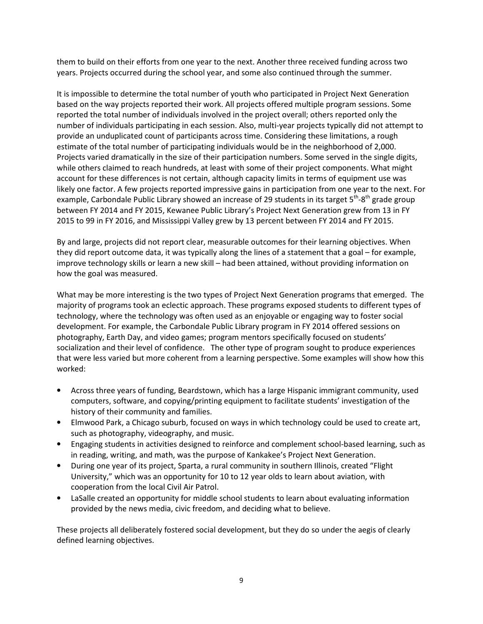them to build on their efforts from one year to the next. Another three received funding across two years. Projects occurred during the school year, and some also continued through the summer.

It is impossible to determine the total number of youth who participated in Project Next Generation based on the way projects reported their work. All projects offered multiple program sessions. Some reported the total number of individuals involved in the project overall; others reported only the number of individuals participating in each session. Also, multi-year projects typically did not attempt to provide an unduplicated count of participants across time. Considering these limitations, a rough estimate of the total number of participating individuals would be in the neighborhood of 2,000. Projects varied dramatically in the size of their participation numbers. Some served in the single digits, while others claimed to reach hundreds, at least with some of their project components. What might account for these differences is not certain, although capacity limits in terms of equipment use was likely one factor. A few projects reported impressive gains in participation from one year to the next. For example, Carbondale Public Library showed an increase of 29 students in its target  $5<sup>th</sup>$ -8<sup>th</sup> grade group between FY 2014 and FY 2015, Kewanee Public Library's Project Next Generation grew from 13 in FY 2015 to 99 in FY 2016, and Mississippi Valley grew by 13 percent between FY 2014 and FY 2015.

By and large, projects did not report clear, measurable outcomes for their learning objectives. When they did report outcome data, it was typically along the lines of a statement that a goal – for example, improve technology skills or learn a new skill – had been attained, without providing information on how the goal was measured.

What may be more interesting is the two types of Project Next Generation programs that emerged. The majority of programs took an eclectic approach. These programs exposed students to different types of technology, where the technology was often used as an enjoyable or engaging way to foster social development. For example, the Carbondale Public Library program in FY 2014 offered sessions on photography, Earth Day, and video games; program mentors specifically focused on students' socialization and their level of confidence. The other type of program sought to produce experiences that were less varied but more coherent from a learning perspective. Some examples will show how this worked:

- Across three years of funding, Beardstown, which has a large Hispanic immigrant community, used computers, software, and copying/printing equipment to facilitate students' investigation of the history of their community and families.
- Elmwood Park, a Chicago suburb, focused on ways in which technology could be used to create art, such as photography, videography, and music.
- Engaging students in activities designed to reinforce and complement school-based learning, such as in reading, writing, and math, was the purpose of Kankakee's Project Next Generation.
- During one year of its project, Sparta, a rural community in southern Illinois, created "Flight University," which was an opportunity for 10 to 12 year olds to learn about aviation, with cooperation from the local Civil Air Patrol.
- LaSalle created an opportunity for middle school students to learn about evaluating information provided by the news media, civic freedom, and deciding what to believe.

These projects all deliberately fostered social development, but they do so under the aegis of clearly defined learning objectives.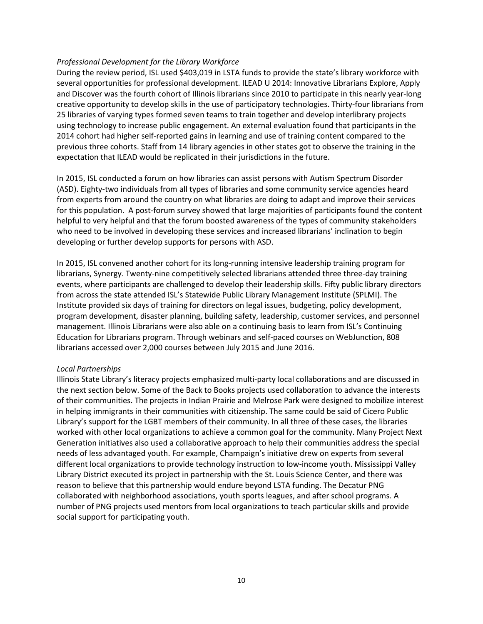#### Professional Development for the Library Workforce

During the review period, ISL used \$403,019 in LSTA funds to provide the state's library workforce with several opportunities for professional development. ILEAD U 2014: Innovative Librarians Explore, Apply and Discover was the fourth cohort of Illinois librarians since 2010 to participate in this nearly year-long creative opportunity to develop skills in the use of participatory technologies. Thirty-four librarians from 25 libraries of varying types formed seven teams to train together and develop interlibrary projects using technology to increase public engagement. An external evaluation found that participants in the 2014 cohort had higher self-reported gains in learning and use of training content compared to the previous three cohorts. Staff from 14 library agencies in other states got to observe the training in the expectation that ILEAD would be replicated in their jurisdictions in the future.

In 2015, ISL conducted a forum on how libraries can assist persons with Autism Spectrum Disorder (ASD). Eighty-two individuals from all types of libraries and some community service agencies heard from experts from around the country on what libraries are doing to adapt and improve their services for this population. A post-forum survey showed that large majorities of participants found the content helpful to very helpful and that the forum boosted awareness of the types of community stakeholders who need to be involved in developing these services and increased librarians' inclination to begin developing or further develop supports for persons with ASD.

In 2015, ISL convened another cohort for its long-running intensive leadership training program for librarians, Synergy. Twenty-nine competitively selected librarians attended three three-day training events, where participants are challenged to develop their leadership skills. Fifty public library directors from across the state attended ISL's Statewide Public Library Management Institute (SPLMI). The Institute provided six days of training for directors on legal issues, budgeting, policy development, program development, disaster planning, building safety, leadership, customer services, and personnel management. Illinois Librarians were also able on a continuing basis to learn from ISL's Continuing Education for Librarians program. Through webinars and self-paced courses on WebJunction, 808 librarians accessed over 2,000 courses between July 2015 and June 2016.

#### Local Partnerships

Illinois State Library's literacy projects emphasized multi-party local collaborations and are discussed in the next section below. Some of the Back to Books projects used collaboration to advance the interests of their communities. The projects in Indian Prairie and Melrose Park were designed to mobilize interest in helping immigrants in their communities with citizenship. The same could be said of Cicero Public Library's support for the LGBT members of their community. In all three of these cases, the libraries worked with other local organizations to achieve a common goal for the community. Many Project Next Generation initiatives also used a collaborative approach to help their communities address the special needs of less advantaged youth. For example, Champaign's initiative drew on experts from several different local organizations to provide technology instruction to low-income youth. Mississippi Valley Library District executed its project in partnership with the St. Louis Science Center, and there was reason to believe that this partnership would endure beyond LSTA funding. The Decatur PNG collaborated with neighborhood associations, youth sports leagues, and after school programs. A number of PNG projects used mentors from local organizations to teach particular skills and provide social support for participating youth.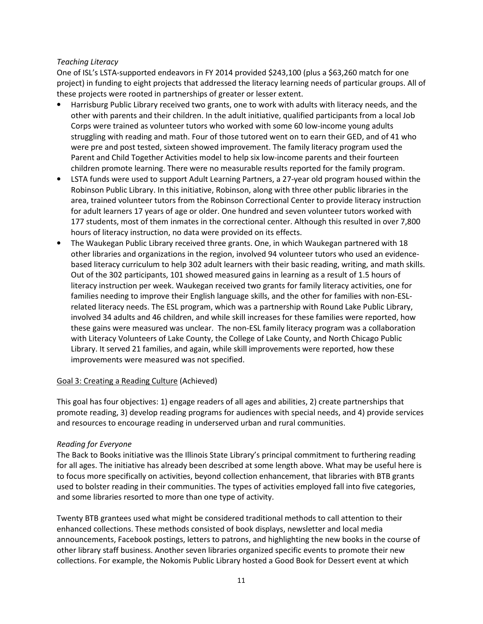#### Teaching Literacy

One of ISL's LSTA-supported endeavors in FY 2014 provided \$243,100 (plus a \$63,260 match for one project) in funding to eight projects that addressed the literacy learning needs of particular groups. All of these projects were rooted in partnerships of greater or lesser extent.

- Harrisburg Public Library received two grants, one to work with adults with literacy needs, and the other with parents and their children. In the adult initiative, qualified participants from a local Job Corps were trained as volunteer tutors who worked with some 60 low-income young adults struggling with reading and math. Four of those tutored went on to earn their GED, and of 41 who were pre and post tested, sixteen showed improvement. The family literacy program used the Parent and Child Together Activities model to help six low-income parents and their fourteen children promote learning. There were no measurable results reported for the family program.
- LSTA funds were used to support Adult Learning Partners, a 27-year old program housed within the Robinson Public Library. In this initiative, Robinson, along with three other public libraries in the area, trained volunteer tutors from the Robinson Correctional Center to provide literacy instruction for adult learners 17 years of age or older. One hundred and seven volunteer tutors worked with 177 students, most of them inmates in the correctional center. Although this resulted in over 7,800 hours of literacy instruction, no data were provided on its effects.
- The Waukegan Public Library received three grants. One, in which Waukegan partnered with 18 other libraries and organizations in the region, involved 94 volunteer tutors who used an evidencebased literacy curriculum to help 302 adult learners with their basic reading, writing, and math skills. Out of the 302 participants, 101 showed measured gains in learning as a result of 1.5 hours of literacy instruction per week. Waukegan received two grants for family literacy activities, one for families needing to improve their English language skills, and the other for families with non-ESLrelated literacy needs. The ESL program, which was a partnership with Round Lake Public Library, involved 34 adults and 46 children, and while skill increases for these families were reported, how these gains were measured was unclear. The non-ESL family literacy program was a collaboration with Literacy Volunteers of Lake County, the College of Lake County, and North Chicago Public Library. It served 21 families, and again, while skill improvements were reported, how these improvements were measured was not specified.

#### Goal 3: Creating a Reading Culture (Achieved)

This goal has four objectives: 1) engage readers of all ages and abilities, 2) create partnerships that promote reading, 3) develop reading programs for audiences with special needs, and 4) provide services and resources to encourage reading in underserved urban and rural communities.

# Reading for Everyone

The Back to Books initiative was the Illinois State Library's principal commitment to furthering reading for all ages. The initiative has already been described at some length above. What may be useful here is to focus more specifically on activities, beyond collection enhancement, that libraries with BTB grants used to bolster reading in their communities. The types of activities employed fall into five categories, and some libraries resorted to more than one type of activity.

Twenty BTB grantees used what might be considered traditional methods to call attention to their enhanced collections. These methods consisted of book displays, newsletter and local media announcements, Facebook postings, letters to patrons, and highlighting the new books in the course of other library staff business. Another seven libraries organized specific events to promote their new collections. For example, the Nokomis Public Library hosted a Good Book for Dessert event at which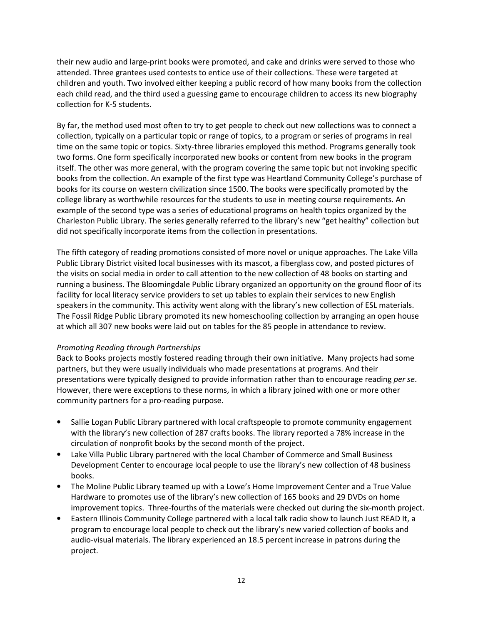their new audio and large-print books were promoted, and cake and drinks were served to those who attended. Three grantees used contests to entice use of their collections. These were targeted at children and youth. Two involved either keeping a public record of how many books from the collection each child read, and the third used a guessing game to encourage children to access its new biography collection for K-5 students.

By far, the method used most often to try to get people to check out new collections was to connect a collection, typically on a particular topic or range of topics, to a program or series of programs in real time on the same topic or topics. Sixty-three libraries employed this method. Programs generally took two forms. One form specifically incorporated new books or content from new books in the program itself. The other was more general, with the program covering the same topic but not invoking specific books from the collection. An example of the first type was Heartland Community College's purchase of books for its course on western civilization since 1500. The books were specifically promoted by the college library as worthwhile resources for the students to use in meeting course requirements. An example of the second type was a series of educational programs on health topics organized by the Charleston Public Library. The series generally referred to the library's new "get healthy" collection but did not specifically incorporate items from the collection in presentations.

The fifth category of reading promotions consisted of more novel or unique approaches. The Lake Villa Public Library District visited local businesses with its mascot, a fiberglass cow, and posted pictures of the visits on social media in order to call attention to the new collection of 48 books on starting and running a business. The Bloomingdale Public Library organized an opportunity on the ground floor of its facility for local literacy service providers to set up tables to explain their services to new English speakers in the community. This activity went along with the library's new collection of ESL materials. The Fossil Ridge Public Library promoted its new homeschooling collection by arranging an open house at which all 307 new books were laid out on tables for the 85 people in attendance to review.

#### Promoting Reading through Partnerships

Back to Books projects mostly fostered reading through their own initiative. Many projects had some partners, but they were usually individuals who made presentations at programs. And their presentations were typically designed to provide information rather than to encourage reading per se. However, there were exceptions to these norms, in which a library joined with one or more other community partners for a pro-reading purpose.

- Sallie Logan Public Library partnered with local craftspeople to promote community engagement with the library's new collection of 287 crafts books. The library reported a 78% increase in the circulation of nonprofit books by the second month of the project.
- Lake Villa Public Library partnered with the local Chamber of Commerce and Small Business Development Center to encourage local people to use the library's new collection of 48 business books.
- The Moline Public Library teamed up with a Lowe's Home Improvement Center and a True Value Hardware to promotes use of the library's new collection of 165 books and 29 DVDs on home improvement topics. Three-fourths of the materials were checked out during the six-month project.
- Eastern Illinois Community College partnered with a local talk radio show to launch Just READ It, a program to encourage local people to check out the library's new varied collection of books and audio-visual materials. The library experienced an 18.5 percent increase in patrons during the project.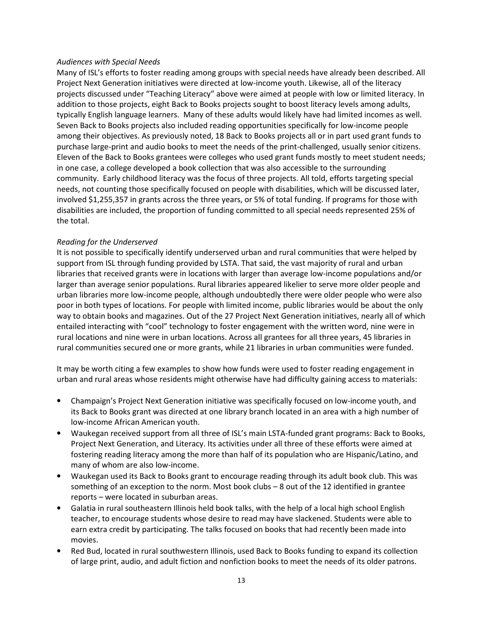#### Audiences with Special Needs

Many of ISL's efforts to foster reading among groups with special needs have already been described. All Project Next Generation initiatives were directed at low-income youth. Likewise, all of the literacy projects discussed under "Teaching Literacy" above were aimed at people with low or limited literacy. In addition to those projects, eight Back to Books projects sought to boost literacy levels among adults, typically English language learners. Many of these adults would likely have had limited incomes as well. Seven Back to Books projects also included reading opportunities specifically for low-income people among their objectives. As previously noted, 18 Back to Books projects all or in part used grant funds to purchase large-print and audio books to meet the needs of the print-challenged, usually senior citizens. Eleven of the Back to Books grantees were colleges who used grant funds mostly to meet student needs; in one case, a college developed a book collection that was also accessible to the surrounding community. Early childhood literacy was the focus of three projects. All told, efforts targeting special needs, not counting those specifically focused on people with disabilities, which will be discussed later, involved \$1,255,357 in grants across the three years, or 5% of total funding. If programs for those with disabilities are included, the proportion of funding committed to all special needs represented 25% of the total.

#### Reading for the Underserved

It is not possible to specifically identify underserved urban and rural communities that were helped by support from ISL through funding provided by LSTA. That said, the vast majority of rural and urban libraries that received grants were in locations with larger than average low-income populations and/or larger than average senior populations. Rural libraries appeared likelier to serve more older people and urban libraries more low-income people, although undoubtedly there were older people who were also poor in both types of locations. For people with limited income, public libraries would be about the only way to obtain books and magazines. Out of the 27 Project Next Generation initiatives, nearly all of which entailed interacting with "cool" technology to foster engagement with the written word, nine were in rural locations and nine were in urban locations. Across all grantees for all three years, 45 libraries in rural communities secured one or more grants, while 21 libraries in urban communities were funded.

It may be worth citing a few examples to show how funds were used to foster reading engagement in urban and rural areas whose residents might otherwise have had difficulty gaining access to materials:

- Champaign's Project Next Generation initiative was specifically focused on low-income youth, and its Back to Books grant was directed at one library branch located in an area with a high number of low-income African American youth.
- Waukegan received support from all three of ISL's main LSTA-funded grant programs: Back to Books, Project Next Generation, and Literacy. Its activities under all three of these efforts were aimed at fostering reading literacy among the more than half of its population who are Hispanic/Latino, and many of whom are also low-income.
- Waukegan used its Back to Books grant to encourage reading through its adult book club. This was something of an exception to the norm. Most book clubs – 8 out of the 12 identified in grantee reports – were located in suburban areas.
- Galatia in rural southeastern Illinois held book talks, with the help of a local high school English teacher, to encourage students whose desire to read may have slackened. Students were able to earn extra credit by participating. The talks focused on books that had recently been made into movies.
- Red Bud, located in rural southwestern Illinois, used Back to Books funding to expand its collection of large print, audio, and adult fiction and nonfiction books to meet the needs of its older patrons.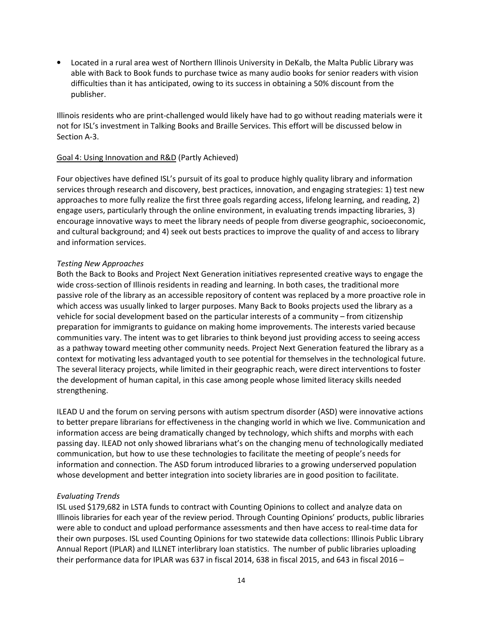• Located in a rural area west of Northern Illinois University in DeKalb, the Malta Public Library was able with Back to Book funds to purchase twice as many audio books for senior readers with vision difficulties than it has anticipated, owing to its success in obtaining a 50% discount from the publisher.

Illinois residents who are print-challenged would likely have had to go without reading materials were it not for ISL's investment in Talking Books and Braille Services. This effort will be discussed below in Section A-3.

#### Goal 4: Using Innovation and R&D (Partly Achieved)

Four objectives have defined ISL's pursuit of its goal to produce highly quality library and information services through research and discovery, best practices, innovation, and engaging strategies: 1) test new approaches to more fully realize the first three goals regarding access, lifelong learning, and reading, 2) engage users, particularly through the online environment, in evaluating trends impacting libraries, 3) encourage innovative ways to meet the library needs of people from diverse geographic, socioeconomic, and cultural background; and 4) seek out bests practices to improve the quality of and access to library and information services.

#### Testing New Approaches

Both the Back to Books and Project Next Generation initiatives represented creative ways to engage the wide cross-section of Illinois residents in reading and learning. In both cases, the traditional more passive role of the library as an accessible repository of content was replaced by a more proactive role in which access was usually linked to larger purposes. Many Back to Books projects used the library as a vehicle for social development based on the particular interests of a community – from citizenship preparation for immigrants to guidance on making home improvements. The interests varied because communities vary. The intent was to get libraries to think beyond just providing access to seeing access as a pathway toward meeting other community needs. Project Next Generation featured the library as a context for motivating less advantaged youth to see potential for themselves in the technological future. The several literacy projects, while limited in their geographic reach, were direct interventions to foster the development of human capital, in this case among people whose limited literacy skills needed strengthening.

ILEAD U and the forum on serving persons with autism spectrum disorder (ASD) were innovative actions to better prepare librarians for effectiveness in the changing world in which we live. Communication and information access are being dramatically changed by technology, which shifts and morphs with each passing day. ILEAD not only showed librarians what's on the changing menu of technologically mediated communication, but how to use these technologies to facilitate the meeting of people's needs for information and connection. The ASD forum introduced libraries to a growing underserved population whose development and better integration into society libraries are in good position to facilitate.

#### Evaluating Trends

ISL used \$179,682 in LSTA funds to contract with Counting Opinions to collect and analyze data on Illinois libraries for each year of the review period. Through Counting Opinions' products, public libraries were able to conduct and upload performance assessments and then have access to real-time data for their own purposes. ISL used Counting Opinions for two statewide data collections: Illinois Public Library Annual Report (IPLAR) and ILLNET interlibrary loan statistics. The number of public libraries uploading their performance data for IPLAR was 637 in fiscal 2014, 638 in fiscal 2015, and 643 in fiscal 2016 –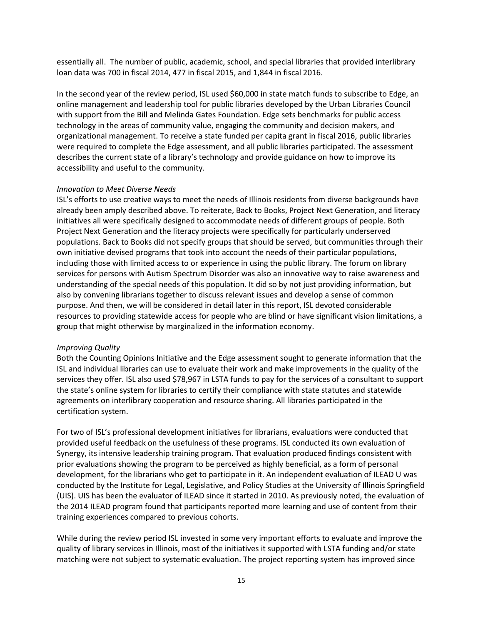essentially all. The number of public, academic, school, and special libraries that provided interlibrary loan data was 700 in fiscal 2014, 477 in fiscal 2015, and 1,844 in fiscal 2016.

In the second year of the review period, ISL used \$60,000 in state match funds to subscribe to Edge, an online management and leadership tool for public libraries developed by the Urban Libraries Council with support from the Bill and Melinda Gates Foundation. Edge sets benchmarks for public access technology in the areas of community value, engaging the community and decision makers, and organizational management. To receive a state funded per capita grant in fiscal 2016, public libraries were required to complete the Edge assessment, and all public libraries participated. The assessment describes the current state of a library's technology and provide guidance on how to improve its accessibility and useful to the community.

#### Innovation to Meet Diverse Needs

ISL's efforts to use creative ways to meet the needs of Illinois residents from diverse backgrounds have already been amply described above. To reiterate, Back to Books, Project Next Generation, and literacy initiatives all were specifically designed to accommodate needs of different groups of people. Both Project Next Generation and the literacy projects were specifically for particularly underserved populations. Back to Books did not specify groups that should be served, but communities through their own initiative devised programs that took into account the needs of their particular populations, including those with limited access to or experience in using the public library. The forum on library services for persons with Autism Spectrum Disorder was also an innovative way to raise awareness and understanding of the special needs of this population. It did so by not just providing information, but also by convening librarians together to discuss relevant issues and develop a sense of common purpose. And then, we will be considered in detail later in this report, ISL devoted considerable resources to providing statewide access for people who are blind or have significant vision limitations, a group that might otherwise by marginalized in the information economy.

#### Improving Quality

Both the Counting Opinions Initiative and the Edge assessment sought to generate information that the ISL and individual libraries can use to evaluate their work and make improvements in the quality of the services they offer. ISL also used \$78,967 in LSTA funds to pay for the services of a consultant to support the state's online system for libraries to certify their compliance with state statutes and statewide agreements on interlibrary cooperation and resource sharing. All libraries participated in the certification system.

For two of ISL's professional development initiatives for librarians, evaluations were conducted that provided useful feedback on the usefulness of these programs. ISL conducted its own evaluation of Synergy, its intensive leadership training program. That evaluation produced findings consistent with prior evaluations showing the program to be perceived as highly beneficial, as a form of personal development, for the librarians who get to participate in it. An independent evaluation of ILEAD U was conducted by the Institute for Legal, Legislative, and Policy Studies at the University of Illinois Springfield (UIS). UIS has been the evaluator of ILEAD since it started in 2010. As previously noted, the evaluation of the 2014 ILEAD program found that participants reported more learning and use of content from their training experiences compared to previous cohorts.

While during the review period ISL invested in some very important efforts to evaluate and improve the quality of library services in Illinois, most of the initiatives it supported with LSTA funding and/or state matching were not subject to systematic evaluation. The project reporting system has improved since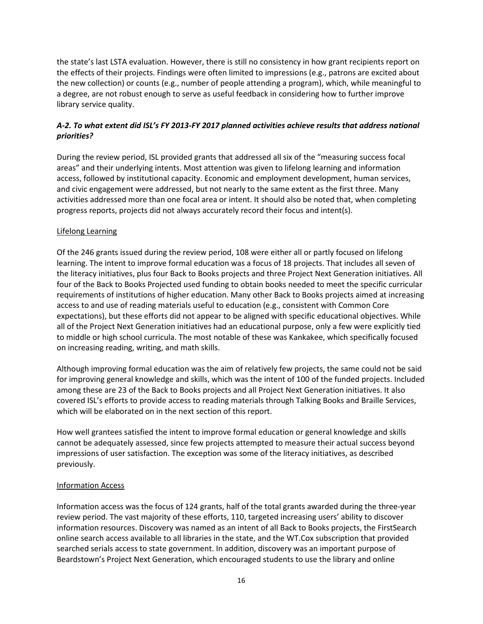the state's last LSTA evaluation. However, there is still no consistency in how grant recipients report on the effects of their projects. Findings were often limited to impressions (e.g., patrons are excited about the new collection) or counts (e.g., number of people attending a program), which, while meaningful to a degree, are not robust enough to serve as useful feedback in considering how to further improve library service quality.

# A-2. To what extent did ISL's FY 2013-FY 2017 planned activities achieve results that address national priorities?

During the review period, ISL provided grants that addressed all six of the "measuring success focal areas" and their underlying intents. Most attention was given to lifelong learning and information access, followed by institutional capacity. Economic and employment development, human services, and civic engagement were addressed, but not nearly to the same extent as the first three. Many activities addressed more than one focal area or intent. It should also be noted that, when completing progress reports, projects did not always accurately record their focus and intent(s).

#### Lifelong Learning

Of the 246 grants issued during the review period, 108 were either all or partly focused on lifelong learning. The intent to improve formal education was a focus of 18 projects. That includes all seven of the literacy initiatives, plus four Back to Books projects and three Project Next Generation initiatives. All four of the Back to Books Projected used funding to obtain books needed to meet the specific curricular requirements of institutions of higher education. Many other Back to Books projects aimed at increasing access to and use of reading materials useful to education (e.g., consistent with Common Core expectations), but these efforts did not appear to be aligned with specific educational objectives. While all of the Project Next Generation initiatives had an educational purpose, only a few were explicitly tied to middle or high school curricula. The most notable of these was Kankakee, which specifically focused on increasing reading, writing, and math skills.

Although improving formal education was the aim of relatively few projects, the same could not be said for improving general knowledge and skills, which was the intent of 100 of the funded projects. Included among these are 23 of the Back to Books projects and all Project Next Generation initiatives. It also covered ISL's efforts to provide access to reading materials through Talking Books and Braille Services, which will be elaborated on in the next section of this report.

How well grantees satisfied the intent to improve formal education or general knowledge and skills cannot be adequately assessed, since few projects attempted to measure their actual success beyond impressions of user satisfaction. The exception was some of the literacy initiatives, as described previously.

#### Information Access

Information access was the focus of 124 grants, half of the total grants awarded during the three-year review period. The vast majority of these efforts, 110, targeted increasing users' ability to discover information resources. Discovery was named as an intent of all Back to Books projects, the FirstSearch online search access available to all libraries in the state, and the WT.Cox subscription that provided searched serials access to state government. In addition, discovery was an important purpose of Beardstown's Project Next Generation, which encouraged students to use the library and online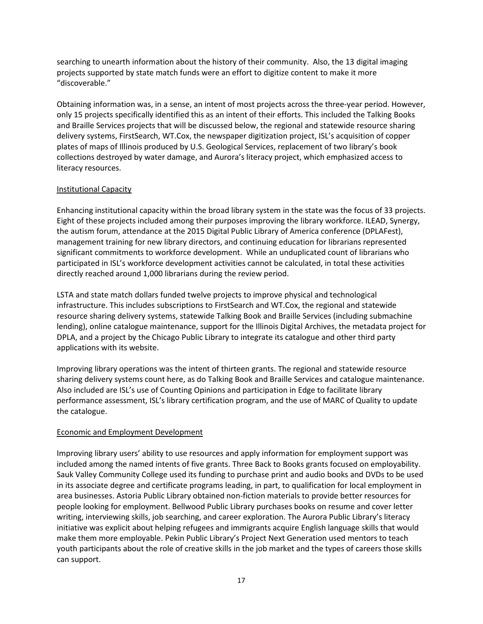searching to unearth information about the history of their community. Also, the 13 digital imaging projects supported by state match funds were an effort to digitize content to make it more "discoverable."

Obtaining information was, in a sense, an intent of most projects across the three-year period. However, only 15 projects specifically identified this as an intent of their efforts. This included the Talking Books and Braille Services projects that will be discussed below, the regional and statewide resource sharing delivery systems, FirstSearch, WT.Cox, the newspaper digitization project, ISL's acquisition of copper plates of maps of Illinois produced by U.S. Geological Services, replacement of two library's book collections destroyed by water damage, and Aurora's literacy project, which emphasized access to literacy resources.

#### Institutional Capacity

Enhancing institutional capacity within the broad library system in the state was the focus of 33 projects. Eight of these projects included among their purposes improving the library workforce. ILEAD, Synergy, the autism forum, attendance at the 2015 Digital Public Library of America conference (DPLAFest), management training for new library directors, and continuing education for librarians represented significant commitments to workforce development. While an unduplicated count of librarians who participated in ISL's workforce development activities cannot be calculated, in total these activities directly reached around 1,000 librarians during the review period.

LSTA and state match dollars funded twelve projects to improve physical and technological infrastructure. This includes subscriptions to FirstSearch and WT.Cox, the regional and statewide resource sharing delivery systems, statewide Talking Book and Braille Services (including submachine lending), online catalogue maintenance, support for the Illinois Digital Archives, the metadata project for DPLA, and a project by the Chicago Public Library to integrate its catalogue and other third party applications with its website.

Improving library operations was the intent of thirteen grants. The regional and statewide resource sharing delivery systems count here, as do Talking Book and Braille Services and catalogue maintenance. Also included are ISL's use of Counting Opinions and participation in Edge to facilitate library performance assessment, ISL's library certification program, and the use of MARC of Quality to update the catalogue.

# Economic and Employment Development

Improving library users' ability to use resources and apply information for employment support was included among the named intents of five grants. Three Back to Books grants focused on employability. Sauk Valley Community College used its funding to purchase print and audio books and DVDs to be used in its associate degree and certificate programs leading, in part, to qualification for local employment in area businesses. Astoria Public Library obtained non-fiction materials to provide better resources for people looking for employment. Bellwood Public Library purchases books on resume and cover letter writing, interviewing skills, job searching, and career exploration. The Aurora Public Library's literacy initiative was explicit about helping refugees and immigrants acquire English language skills that would make them more employable. Pekin Public Library's Project Next Generation used mentors to teach youth participants about the role of creative skills in the job market and the types of careers those skills can support.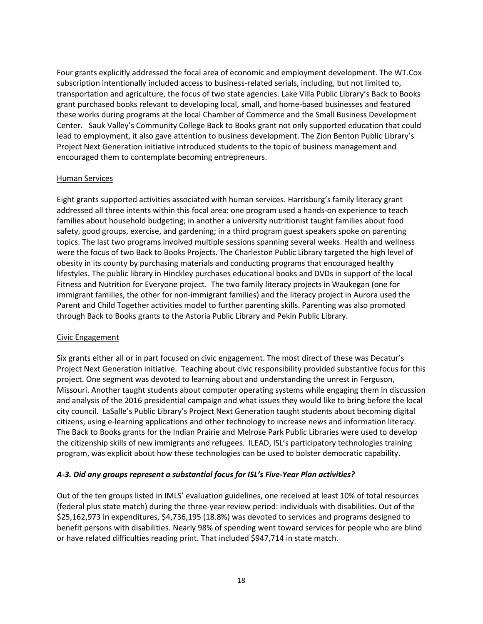Four grants explicitly addressed the focal area of economic and employment development. The WT.Cox subscription intentionally included access to business-related serials, including, but not limited to, transportation and agriculture, the focus of two state agencies. Lake Villa Public Library's Back to Books grant purchased books relevant to developing local, small, and home-based businesses and featured these works during programs at the local Chamber of Commerce and the Small Business Development Center. Sauk Valley's Community College Back to Books grant not only supported education that could lead to employment, it also gave attention to business development. The Zion Benton Public Library's Project Next Generation initiative introduced students to the topic of business management and encouraged them to contemplate becoming entrepreneurs.

#### Human Services

Eight grants supported activities associated with human services. Harrisburg's family literacy grant addressed all three intents within this focal area: one program used a hands-on experience to teach families about household budgeting; in another a university nutritionist taught families about food safety, good groups, exercise, and gardening; in a third program guest speakers spoke on parenting topics. The last two programs involved multiple sessions spanning several weeks. Health and wellness were the focus of two Back to Books Projects. The Charleston Public Library targeted the high level of obesity in its county by purchasing materials and conducting programs that encouraged healthy lifestyles. The public library in Hinckley purchases educational books and DVDs in support of the local Fitness and Nutrition for Everyone project. The two family literacy projects in Waukegan (one for immigrant families, the other for non-immigrant families) and the literacy project in Aurora used the Parent and Child Together activities model to further parenting skills. Parenting was also promoted through Back to Books grants to the Astoria Public Library and Pekin Public Library.

#### Civic Engagement

Six grants either all or in part focused on civic engagement. The most direct of these was Decatur's Project Next Generation initiative. Teaching about civic responsibility provided substantive focus for this project. One segment was devoted to learning about and understanding the unrest in Ferguson, Missouri. Another taught students about computer operating systems while engaging them in discussion and analysis of the 2016 presidential campaign and what issues they would like to bring before the local city council. LaSalle's Public Library's Project Next Generation taught students about becoming digital citizens, using e-learning applications and other technology to increase news and information literacy. The Back to Books grants for the Indian Prairie and Melrose Park Public Libraries were used to develop the citizenship skills of new immigrants and refugees. ILEAD, ISL's participatory technologies training program, was explicit about how these technologies can be used to bolster democratic capability.

#### A-3. Did any groups represent a substantial focus for ISL's Five-Year Plan activities?

Out of the ten groups listed in IMLS' evaluation guidelines, one received at least 10% of total resources (federal plus state match) during the three-year review period: individuals with disabilities. Out of the \$25,162,973 in expenditures, \$4,736,195 (18.8%) was devoted to services and programs designed to benefit persons with disabilities. Nearly 98% of spending went toward services for people who are blind or have related difficulties reading print. That included \$947,714 in state match.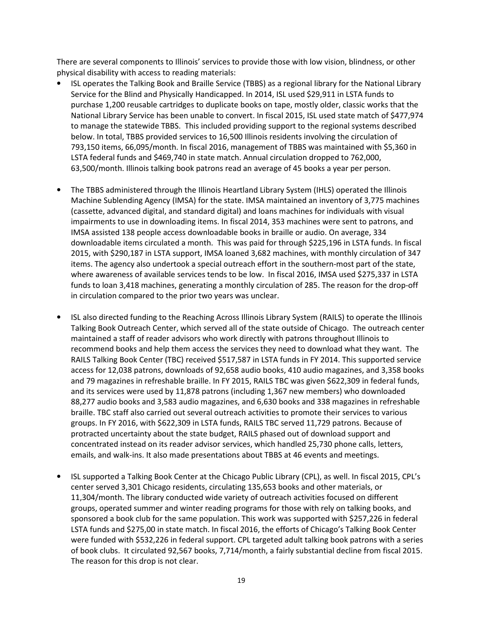There are several components to Illinois' services to provide those with low vision, blindness, or other physical disability with access to reading materials:

- ISL operates the Talking Book and Braille Service (TBBS) as a regional library for the National Library Service for the Blind and Physically Handicapped. In 2014, ISL used \$29,911 in LSTA funds to purchase 1,200 reusable cartridges to duplicate books on tape, mostly older, classic works that the National Library Service has been unable to convert. In fiscal 2015, ISL used state match of \$477,974 to manage the statewide TBBS. This included providing support to the regional systems described below. In total, TBBS provided services to 16,500 Illinois residents involving the circulation of 793,150 items, 66,095/month. In fiscal 2016, management of TBBS was maintained with \$5,360 in LSTA federal funds and \$469,740 in state match. Annual circulation dropped to 762,000, 63,500/month. Illinois talking book patrons read an average of 45 books a year per person.
- The TBBS administered through the Illinois Heartland Library System (IHLS) operated the Illinois Machine Sublending Agency (IMSA) for the state. IMSA maintained an inventory of 3,775 machines (cassette, advanced digital, and standard digital) and loans machines for individuals with visual impairments to use in downloading items. In fiscal 2014, 353 machines were sent to patrons, and IMSA assisted 138 people access downloadable books in braille or audio. On average, 334 downloadable items circulated a month. This was paid for through \$225,196 in LSTA funds. In fiscal 2015, with \$290,187 in LSTA support, IMSA loaned 3,682 machines, with monthly circulation of 347 items. The agency also undertook a special outreach effort in the southern-most part of the state, where awareness of available services tends to be low. In fiscal 2016, IMSA used \$275,337 in LSTA funds to loan 3,418 machines, generating a monthly circulation of 285. The reason for the drop-off in circulation compared to the prior two years was unclear.
- ISL also directed funding to the Reaching Across Illinois Library System (RAILS) to operate the Illinois Talking Book Outreach Center, which served all of the state outside of Chicago. The outreach center maintained a staff of reader advisors who work directly with patrons throughout Illinois to recommend books and help them access the services they need to download what they want. The RAILS Talking Book Center (TBC) received \$517,587 in LSTA funds in FY 2014. This supported service access for 12,038 patrons, downloads of 92,658 audio books, 410 audio magazines, and 3,358 books and 79 magazines in refreshable braille. In FY 2015, RAILS TBC was given \$622,309 in federal funds, and its services were used by 11,878 patrons (including 1,367 new members) who downloaded 88,277 audio books and 3,583 audio magazines, and 6,630 books and 338 magazines in refreshable braille. TBC staff also carried out several outreach activities to promote their services to various groups. In FY 2016, with \$622,309 in LSTA funds, RAILS TBC served 11,729 patrons. Because of protracted uncertainty about the state budget, RAILS phased out of download support and concentrated instead on its reader advisor services, which handled 25,730 phone calls, letters, emails, and walk-ins. It also made presentations about TBBS at 46 events and meetings.
- ISL supported a Talking Book Center at the Chicago Public Library (CPL), as well. In fiscal 2015, CPL's center served 3,301 Chicago residents, circulating 135,653 books and other materials, or 11,304/month. The library conducted wide variety of outreach activities focused on different groups, operated summer and winter reading programs for those with rely on talking books, and sponsored a book club for the same population. This work was supported with \$257,226 in federal LSTA funds and \$275,00 in state match. In fiscal 2016, the efforts of Chicago's Talking Book Center were funded with \$532,226 in federal support. CPL targeted adult talking book patrons with a series of book clubs. It circulated 92,567 books, 7,714/month, a fairly substantial decline from fiscal 2015. The reason for this drop is not clear.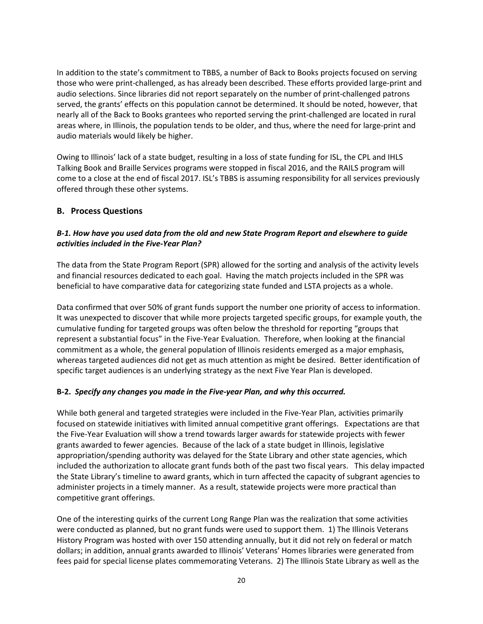In addition to the state's commitment to TBBS, a number of Back to Books projects focused on serving those who were print-challenged, as has already been described. These efforts provided large-print and audio selections. Since libraries did not report separately on the number of print-challenged patrons served, the grants' effects on this population cannot be determined. It should be noted, however, that nearly all of the Back to Books grantees who reported serving the print-challenged are located in rural areas where, in Illinois, the population tends to be older, and thus, where the need for large-print and audio materials would likely be higher.

Owing to Illinois' lack of a state budget, resulting in a loss of state funding for ISL, the CPL and IHLS Talking Book and Braille Services programs were stopped in fiscal 2016, and the RAILS program will come to a close at the end of fiscal 2017. ISL's TBBS is assuming responsibility for all services previously offered through these other systems.

#### B. Process Questions

#### B-1. How have you used data from the old and new State Program Report and elsewhere to guide activities included in the Five-Year Plan?

The data from the State Program Report (SPR) allowed for the sorting and analysis of the activity levels and financial resources dedicated to each goal. Having the match projects included in the SPR was beneficial to have comparative data for categorizing state funded and LSTA projects as a whole.

Data confirmed that over 50% of grant funds support the number one priority of access to information. It was unexpected to discover that while more projects targeted specific groups, for example youth, the cumulative funding for targeted groups was often below the threshold for reporting "groups that represent a substantial focus" in the Five-Year Evaluation. Therefore, when looking at the financial commitment as a whole, the general population of Illinois residents emerged as a major emphasis, whereas targeted audiences did not get as much attention as might be desired. Better identification of specific target audiences is an underlying strategy as the next Five Year Plan is developed.

#### B-2. Specify any changes you made in the Five-year Plan, and why this occurred.

While both general and targeted strategies were included in the Five-Year Plan, activities primarily focused on statewide initiatives with limited annual competitive grant offerings. Expectations are that the Five-Year Evaluation will show a trend towards larger awards for statewide projects with fewer grants awarded to fewer agencies. Because of the lack of a state budget in Illinois, legislative appropriation/spending authority was delayed for the State Library and other state agencies, which included the authorization to allocate grant funds both of the past two fiscal years. This delay impacted the State Library's timeline to award grants, which in turn affected the capacity of subgrant agencies to administer projects in a timely manner. As a result, statewide projects were more practical than competitive grant offerings.

One of the interesting quirks of the current Long Range Plan was the realization that some activities were conducted as planned, but no grant funds were used to support them. 1) The Illinois Veterans History Program was hosted with over 150 attending annually, but it did not rely on federal or match dollars; in addition, annual grants awarded to Illinois' Veterans' Homes libraries were generated from fees paid for special license plates commemorating Veterans. 2) The Illinois State Library as well as the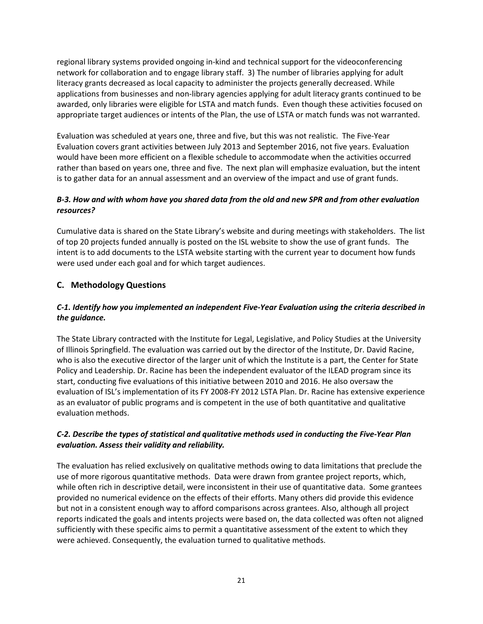regional library systems provided ongoing in-kind and technical support for the videoconferencing network for collaboration and to engage library staff. 3) The number of libraries applying for adult literacy grants decreased as local capacity to administer the projects generally decreased. While applications from businesses and non-library agencies applying for adult literacy grants continued to be awarded, only libraries were eligible for LSTA and match funds. Even though these activities focused on appropriate target audiences or intents of the Plan, the use of LSTA or match funds was not warranted.

Evaluation was scheduled at years one, three and five, but this was not realistic. The Five-Year Evaluation covers grant activities between July 2013 and September 2016, not five years. Evaluation would have been more efficient on a flexible schedule to accommodate when the activities occurred rather than based on years one, three and five. The next plan will emphasize evaluation, but the intent is to gather data for an annual assessment and an overview of the impact and use of grant funds.

# B-3. How and with whom have you shared data from the old and new SPR and from other evaluation resources?

Cumulative data is shared on the State Library's website and during meetings with stakeholders. The list of top 20 projects funded annually is posted on the ISL website to show the use of grant funds. The intent is to add documents to the LSTA website starting with the current year to document how funds were used under each goal and for which target audiences.

# C. Methodology Questions

# C-1. Identify how you implemented an independent Five-Year Evaluation using the criteria described in the guidance.

The State Library contracted with the Institute for Legal, Legislative, and Policy Studies at the University of Illinois Springfield. The evaluation was carried out by the director of the Institute, Dr. David Racine, who is also the executive director of the larger unit of which the Institute is a part, the Center for State Policy and Leadership. Dr. Racine has been the independent evaluator of the ILEAD program since its start, conducting five evaluations of this initiative between 2010 and 2016. He also oversaw the evaluation of ISL's implementation of its FY 2008-FY 2012 LSTA Plan. Dr. Racine has extensive experience as an evaluator of public programs and is competent in the use of both quantitative and qualitative evaluation methods.

# C-2. Describe the types of statistical and qualitative methods used in conducting the Five-Year Plan evaluation. Assess their validity and reliability.

The evaluation has relied exclusively on qualitative methods owing to data limitations that preclude the use of more rigorous quantitative methods. Data were drawn from grantee project reports, which, while often rich in descriptive detail, were inconsistent in their use of quantitative data. Some grantees provided no numerical evidence on the effects of their efforts. Many others did provide this evidence but not in a consistent enough way to afford comparisons across grantees. Also, although all project reports indicated the goals and intents projects were based on, the data collected was often not aligned sufficiently with these specific aims to permit a quantitative assessment of the extent to which they were achieved. Consequently, the evaluation turned to qualitative methods.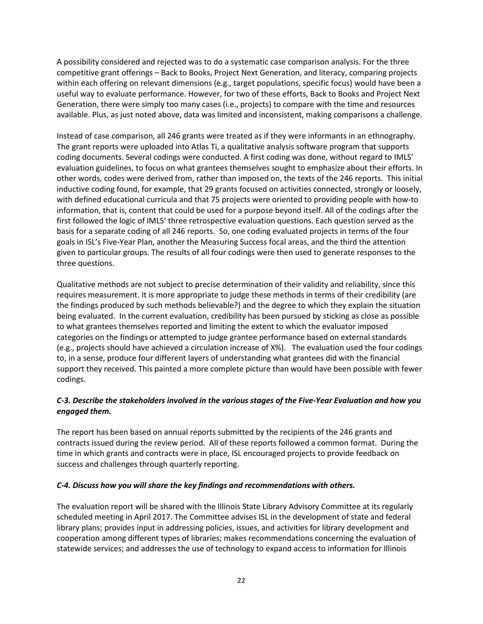A possibility considered and rejected was to do a systematic case comparison analysis. For the three competitive grant offerings – Back to Books, Project Next Generation, and literacy, comparing projects within each offering on relevant dimensions (e.g., target populations, specific focus) would have been a useful way to evaluate performance. However, for two of these efforts, Back to Books and Project Next Generation, there were simply too many cases (i.e., projects) to compare with the time and resources available. Plus, as just noted above, data was limited and inconsistent, making comparisons a challenge.

Instead of case comparison, all 246 grants were treated as if they were informants in an ethnography. The grant reports were uploaded into Atlas Ti, a qualitative analysis software program that supports coding documents. Several codings were conducted. A first coding was done, without regard to IMLS' evaluation guidelines, to focus on what grantees themselves sought to emphasize about their efforts. In other words, codes were derived from, rather than imposed on, the texts of the 246 reports. This initial inductive coding found, for example, that 29 grants focused on activities connected, strongly or loosely, with defined educational curricula and that 75 projects were oriented to providing people with how-to information, that is, content that could be used for a purpose beyond itself. All of the codings after the first followed the logic of IMLS' three retrospective evaluation questions. Each question served as the basis for a separate coding of all 246 reports. So, one coding evaluated projects in terms of the four goals in ISL's Five-Year Plan, another the Measuring Success focal areas, and the third the attention given to particular groups. The results of all four codings were then used to generate responses to the three questions.

Qualitative methods are not subject to precise determination of their validity and reliability, since this requires measurement. It is more appropriate to judge these methods in terms of their credibility (are the findings produced by such methods believable?) and the degree to which they explain the situation being evaluated. In the current evaluation, credibility has been pursued by sticking as close as possible to what grantees themselves reported and limiting the extent to which the evaluator imposed categories on the findings or attempted to judge grantee performance based on external standards (e.g., projects should have achieved a circulation increase of X%). The evaluation used the four codings to, in a sense, produce four different layers of understanding what grantees did with the financial support they received. This painted a more complete picture than would have been possible with fewer codings.

# C-3. Describe the stakeholders involved in the various stages of the Five-Year Evaluation and how you engaged them.

The report has been based on annual reports submitted by the recipients of the 246 grants and contracts issued during the review period. All of these reports followed a common format. During the time in which grants and contracts were in place, ISL encouraged projects to provide feedback on success and challenges through quarterly reporting.

#### C-4. Discuss how you will share the key findings and recommendations with others.

The evaluation report will be shared with the Illinois State Library Advisory Committee at its regularly scheduled meeting in April 2017. The Committee advises ISL in the development of state and federal library plans; provides input in addressing policies, issues, and activities for library development and cooperation among different types of libraries; makes recommendations concerning the evaluation of statewide services; and addresses the use of technology to expand access to information for Illinois